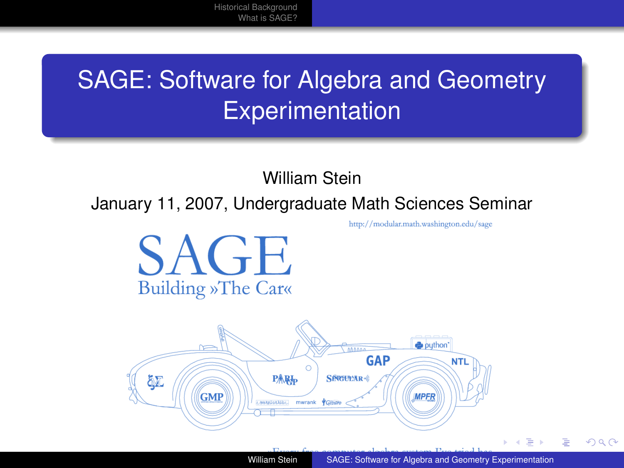[Historical Background](#page-2-0) [What is SAGE?](#page-9-0)

### SAGE: Software for Algebra and Geometry **Experimentation**

William Stein

January 11, 2007, Undergraduate Math Sciences Seminar

http://modular.math.washington.edu/sage





<span id="page-0-0"></span>つへへ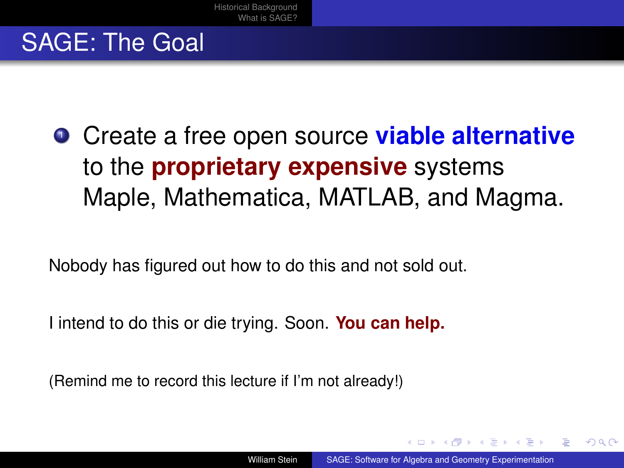#### SAGE: The Goal

**• Create a free open source viable alternative** to the **proprietary expensive** systems Maple, Mathematica, MATLAB, and Magma.

Nobody has figured out how to do this and not sold out.

I intend to do this or die trying. Soon. **You can help.**

<span id="page-1-0"></span>(Remind me to record this lecture if I'm not already!)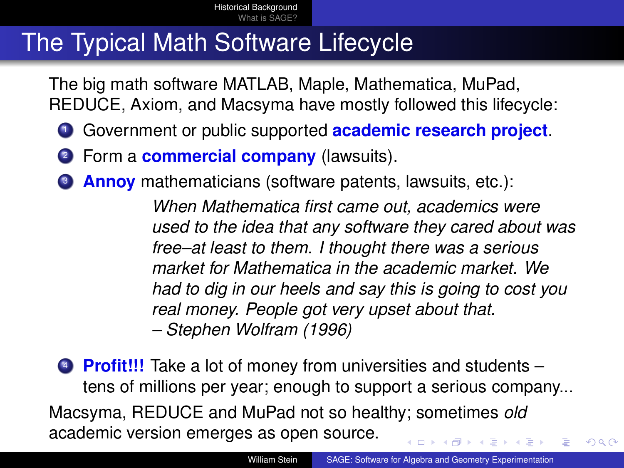#### The Typical Math Software Lifecycle

The big math software MATLAB, Maple, Mathematica, MuPad, REDUCE, Axiom, and Macsyma have mostly followed this lifecycle:

- <sup>1</sup> Government or public supported **academic research project**.
- <sup>2</sup> Form a **commercial company** (lawsuits).
- <sup>3</sup> **Annoy** mathematicians (software patents, lawsuits, etc.):

<span id="page-2-0"></span>*When Mathematica first came out, academics were used to the idea that any software they cared about was free–at least to them. I thought there was a serious market for Mathematica in the academic market. We had to dig in our heels and say this is going to cost you real money. People got very upset about that. – Stephen Wolfram (1996)*

<sup>4</sup> **Profit!!!** Take a lot of money from universities and students – tens of millions per year; enough to support a serious company... Macsyma, REDUCE and MuPad not so healthy; sometimes *old* academic version emerges as open source.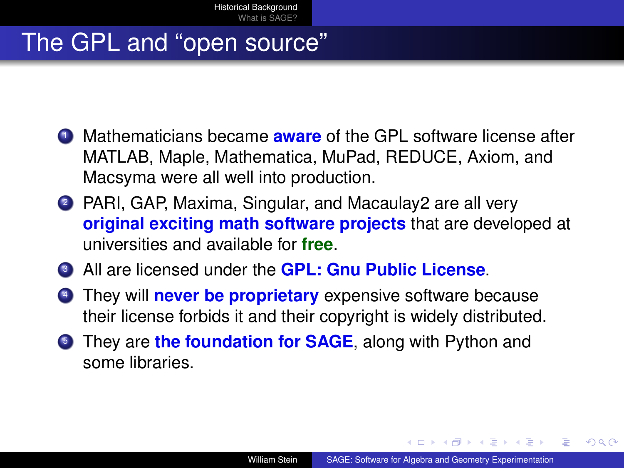#### The GPL and "open source"

- <sup>1</sup> Mathematicians became **aware** of the GPL software license after MATLAB, Maple, Mathematica, MuPad, REDUCE, Axiom, and Macsyma were all well into production.
- <sup>2</sup> PARI, GAP, Maxima, Singular, and Macaulay2 are all very **original exciting math software projects** that are developed at universities and available for **free**.
- <sup>3</sup> All are licensed under the **GPL: Gnu Public License**.
- <sup>4</sup> They will **never be proprietary** expensive software because their license forbids it and their copyright is widely distributed.
- **5** They are **the foundation for SAGE**, along with Python and some libraries.

<span id="page-3-0"></span> $2.49 \times 2.75 \times 2.75$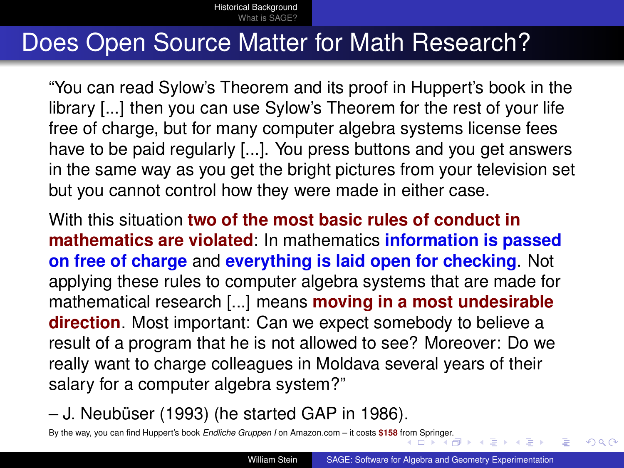#### Does Open Source Matter for Math Research?

"You can read Sylow's Theorem and its proof in Huppert's book in the library [...] then you can use Sylow's Theorem for the rest of your life free of charge, but for many computer algebra systems license fees have to be paid regularly [...]. You press buttons and you get answers in the same way as you get the bright pictures from your television set but you cannot control how they were made in either case.

With this situation **two of the most basic rules of conduct in mathematics are violated**: In mathematics **information is passed on free of charge** and **everything is laid open for checking**. Not applying these rules to computer algebra systems that are made for mathematical research [...] means **moving in a most undesirable direction**. Most important: Can we expect somebody to believe a result of a program that he is not allowed to see? Moreover: Do we really want to charge colleagues in Moldava several years of their salary for a computer algebra system?"

– J. Neubüser (1993) (he started GAP in 1986).

<span id="page-4-0"></span>By the way, you can find Huppert's book *Endliche Gruppen I* on Amazon.com – it costs **\$158** [from](#page-3-0) S[prin](#page-5-0)[ge](#page-3-0)[r.](#page-4-0)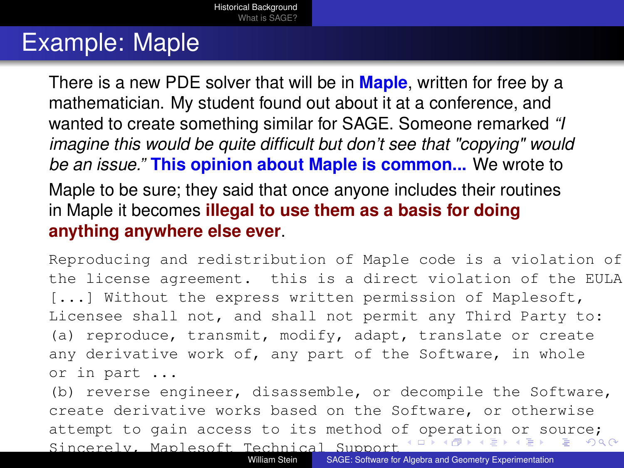#### Example: Maple

There is a new PDE solver that will be in **Maple**, written for free by a mathematician. My student found out about it at a conference, and wanted to create something similar for SAGE. Someone remarked *"I imagine this would be quite difficult but don't see that "copying" would be an issue."* **This opinion about Maple is common...** We wrote to Maple to be sure; they said that once anyone includes their routines in Maple it becomes **illegal to use them as a basis for doing**

**anything anywhere else ever**.

Reproducing and redistribution of Maple code is a violation of the license agreement. this is a direct violation of the EULA. [...] Without the express written permission of Maplesoft, Licensee shall not, and shall not permit any Third Party to: (a) reproduce, transmit, modify, adapt, translate or create any derivative work of, any part of the Software, in whole or in part ...

<span id="page-5-0"></span>(b) reverse engineer, disassemble, or decompile the Software, create derivative works based on the Software, or otherwise attempt to gain access to its method o[f](#page-4-0) [op](#page-6-0)[e](#page-4-0)[ra](#page-5-0)[t](#page-6-0)[i](#page-1-0)[o](#page-2-0)[n](#page-8-0) [o](#page-1-0)[r](#page-2-0) [s](#page-9-0)[ou](#page-0-0)[rc](#page-18-0)e; Sincerely, Maplesoft Technical Support つへへ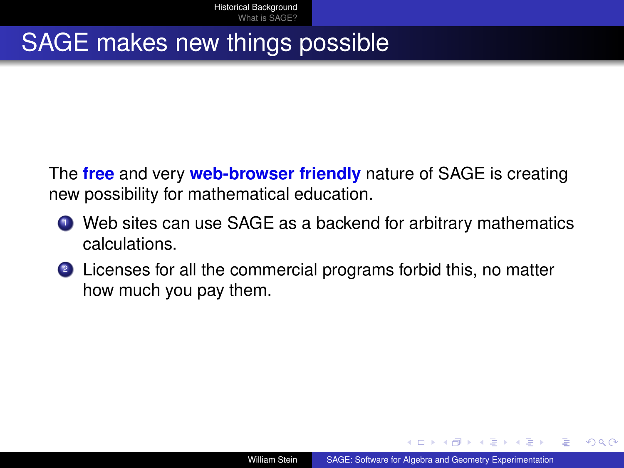#### SAGE makes new things possible

The **free** and very **web-browser friendly** nature of SAGE is creating new possibility for mathematical education.

- **1** Web sites can use SAGE as a backend for arbitrary mathematics calculations.
- <span id="page-6-0"></span><sup>2</sup> Licenses for all the commercial programs forbid this, no matter how much you pay them.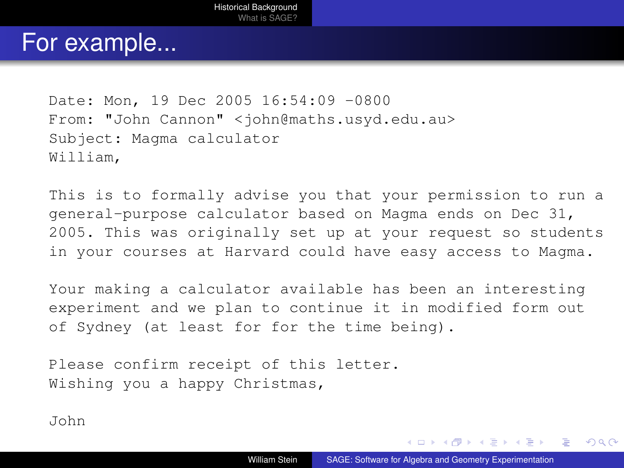#### For example...

```
Date: Mon, 19 Dec 2005 16:54:09 -0800
From: "John Cannon" <john@maths.usyd.edu.au>
Subject: Magma calculator
William,
```
This is to formally advise you that your permission to run a general-purpose calculator based on Magma ends on Dec 31, 2005. This was originally set up at your request so students in your courses at Harvard could have easy access to Magma.

Your making a calculator available has been an interesting experiment and we plan to continue it in modified form out of Sydney (at least for for the time being).

Please confirm receipt of this letter. Wishing you a happy Christmas,

John

◆ロ→ → 何→ → ヨ→ → ヨ→ → ヨ→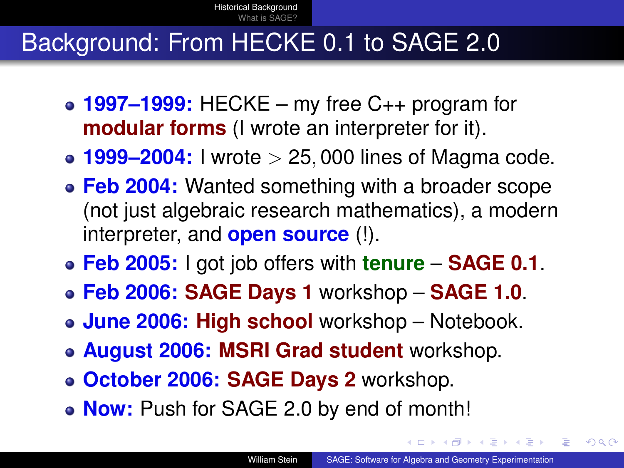#### Background: From HECKE 0.1 to SAGE 2.0

- **1997–1999:** HECKE my free C++ program for **modular forms** (I wrote an interpreter for it).
- **1999–2004:** I wrote > 25, 000 lines of Magma code.
- **Feb 2004:** Wanted something with a broader scope (not just algebraic research mathematics), a modern interpreter, and **open source** (!).
- **Feb 2005:** I got job offers with **tenure SAGE 0.1**.
- **Feb 2006: SAGE Days 1** workshop **SAGE 1.0**.
- **June 2006: High school** workshop Notebook.
- **August 2006: MSRI Grad student** workshop.
- **October 2006: SAGE Days 2** workshop.
- <span id="page-8-0"></span>**Now:** Push for SAGE 2.0 by end of month!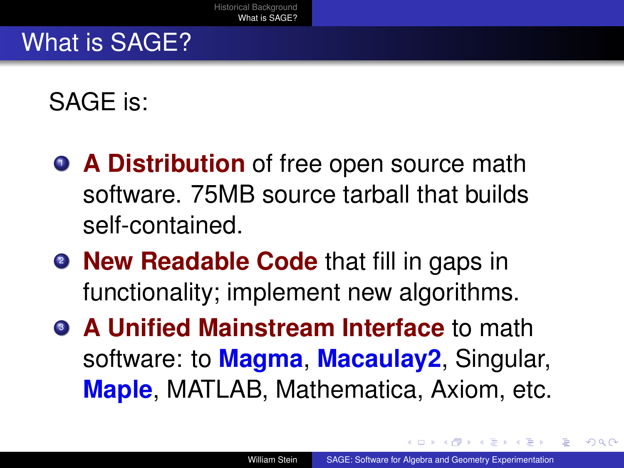#### What is SAGE?

SAGE is:

- **A Distribution** of free open source math software. 75MB source tarball that builds self-contained.
- **New Readable Code** that fill in gaps in functionality; implement new algorithms.
- <span id="page-9-0"></span>**3 A Unified Mainstream Interface to math** software: to **Magma**, **Macaulay2**, Singular, **Maple**, MATLAB, Mathematica, Axiom, etc.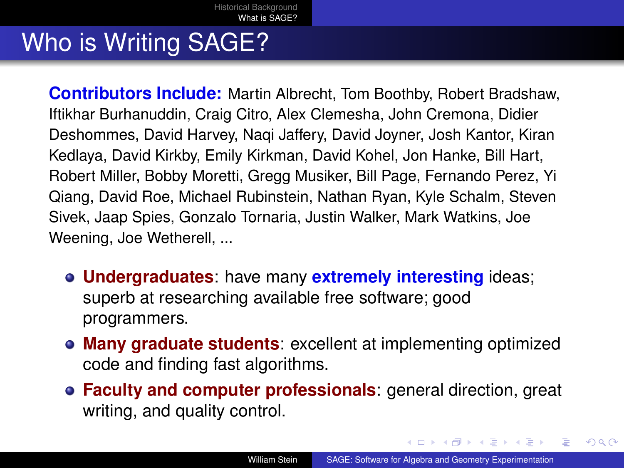#### Who is Writing SAGE?

**Contributors Include:** Martin Albrecht, Tom Boothby, Robert Bradshaw, Iftikhar Burhanuddin, Craig Citro, Alex Clemesha, John Cremona, Didier Deshommes, David Harvey, Naqi Jaffery, David Joyner, Josh Kantor, Kiran Kedlaya, David Kirkby, Emily Kirkman, David Kohel, Jon Hanke, Bill Hart, Robert Miller, Bobby Moretti, Gregg Musiker, Bill Page, Fernando Perez, Yi Qiang, David Roe, Michael Rubinstein, Nathan Ryan, Kyle Schalm, Steven Sivek, Jaap Spies, Gonzalo Tornaria, Justin Walker, Mark Watkins, Joe Weening, Joe Wetherell, ...

- **Undergraduates**: have many **extremely interesting** ideas; superb at researching available free software; good programmers.
- **Many graduate students**: excellent at implementing optimized code and finding fast algorithms.
- **Faculty and computer professionals**: general direction, great writing, and quality control.

イロト イ押ト イヨト イヨト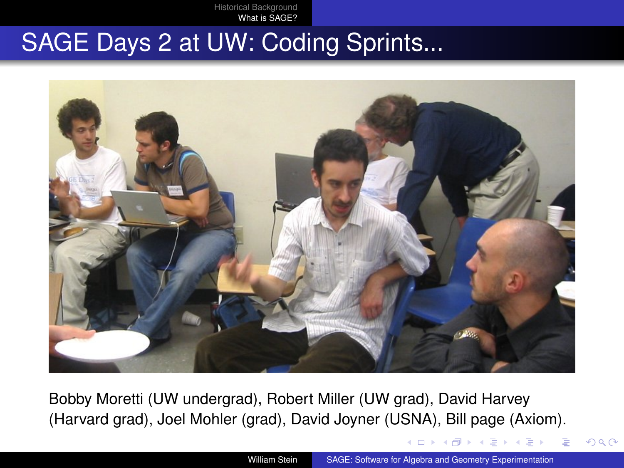[Historical Background](#page-2-0) [What is SAGE?](#page-9-0)

#### SAGE Days 2 at UW: Coding Sprints...



<span id="page-11-0"></span>Bobby Moretti (UW undergrad), Robert Miller (UW grad), David Harvey (Harvard grad), Joel Mohler (grad), David Joyner (USNA), Bill page (Axiom).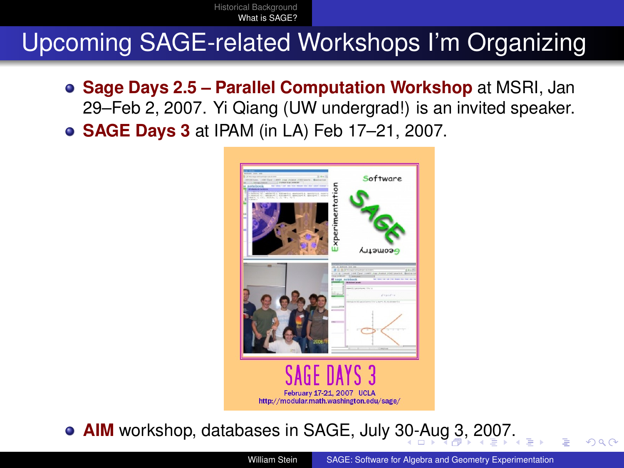[Historical Background](#page-2-0) [What is SAGE?](#page-9-0)

#### Upcoming SAGE-related Workshops I'm Organizing

- **Sage Days 2.5 Parallel Computation Workshop** at MSRI, Jan 29–Feb 2, 2007. Yi Qiang (UW undergrad!) is an invited speaker.
- **SAGE Days 3** at IPAM (in LA) Feb 17–21, 2007.



**AIM** workshop, databases in SAGE, July [30-](#page-11-0)[Au](#page-13-0)[g](#page-11-0) [3](#page-12-0)[,](#page-13-0) [2](#page-8-0)[0](#page-9-0)[07](#page-18-0)[.](#page-8-0)

<span id="page-12-0"></span>William Stein [SAGE: Software for Algebra and Geometry Experimentation](#page-0-0)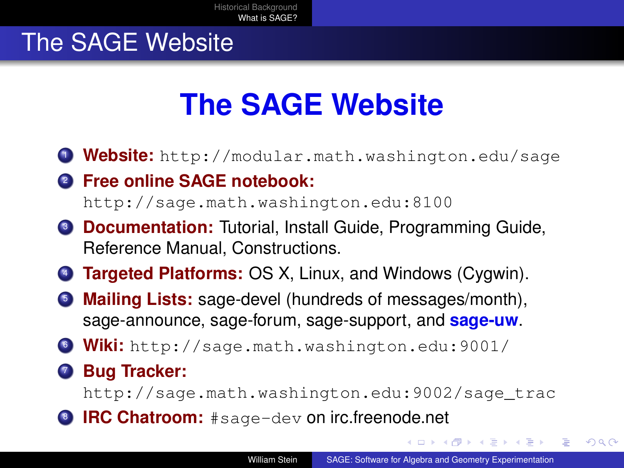#### The SAGE Website

# **The SAGE Website**

- <sup>1</sup> **Website:** <http://modular.math.washington.edu/sage>
- <sup>2</sup> **Free online SAGE notebook:**

<http://sage.math.washington.edu:8100>

- **3 Documentation:** Tutorial, Install Guide, Programming Guide, Reference Manual, Constructions.
- <sup>4</sup> **Targeted Platforms:** OS X, Linux, and Windows (Cygwin).
- <sup>5</sup> **Mailing Lists:** sage-devel (hundreds of messages/month), sage-announce, sage-forum, sage-support, and **sage-uw**.
- <sup>6</sup> **Wiki:** <http://sage.math.washington.edu:9001/>
- <sup>7</sup> **Bug Tracker:**

[http://sage.math.washington.edu:9002/sage\\_trac](http://sage.math.washington.edu:9002/sage_trac)

**B IRC Chatroom:** #sage-dev on irc.freenode.net

<span id="page-13-0"></span>イタン イヨン イヨン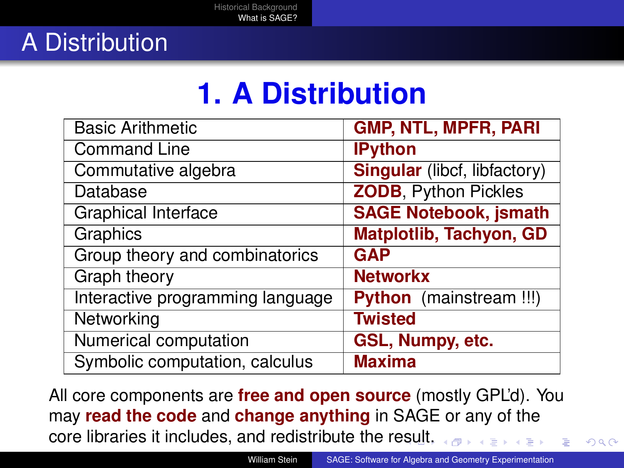## **1. A Distribution**

| <b>Basic Arithmetic</b>          | <b>GMP, NTL, MPFR, PARI</b>         |
|----------------------------------|-------------------------------------|
| <b>Command Line</b>              | <b>IPython</b>                      |
| Commutative algebra              | <b>Singular</b> (libcf, libfactory) |
| Database                         | <b>ZODB, Python Pickles</b>         |
| <b>Graphical Interface</b>       | <b>SAGE Notebook, jsmath</b>        |
| Graphics                         | <b>Matplotlib, Tachyon, GD</b>      |
| Group theory and combinatorics   | <b>GAP</b>                          |
| <b>Graph theory</b>              | <b>Networkx</b>                     |
| Interactive programming language | Python (mainstream !!!)             |
| Networking                       | <b>Twisted</b>                      |
| Numerical computation            | GSL, Numpy, etc.                    |
| Symbolic computation, calculus   | <b>Maxima</b>                       |

All core components are **free and open source** (mostly GPL'd). You may **read the code** and **change anything** in SAGE or any of the core libraries it includes, and redistribute the r[esu](#page-13-0)l[t.](#page-15-0)

 $QQ$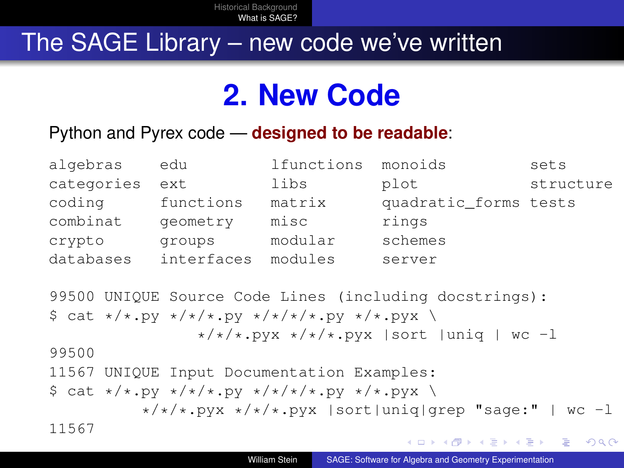#### The SAGE Library – new code we've written

## **2. New Code**

#### Python and Pyrex code — **designed to be readable**:

| algebras   | edu        | lfunctions | monoids               | sets      |
|------------|------------|------------|-----------------------|-----------|
| categories | ext        | libs       | plot                  | structure |
| coding     | functions  | matrix     | quadratic_forms tests |           |
| combinat   | geometry   | misc       | rings                 |           |
| crypto     | groups     | modular    | schemes               |           |
| databases  | interfaces | modules    | server                |           |

```
99500 UNIQUE Source Code Lines (including docstrings):
\frac{1}{2} cat \frac{x}{x}.py \frac{x}{x} / \frac{x}{x}.py \frac{x}{x} / \frac{x}{x}.py \frac{x}{x}\star/\star/\star.pyx \star/\star/\star.pyx | sort | uniq | wc -1
99500
11567 UNIQUE Input Documentation Examples:
\frac{1}{2} cat \frac{x}{x}.py \frac{x}{x}.py \frac{x}{x}.py \frac{x}{x}.pyx \
               \star/\star/\star.pyx \star/\star/\star.pyx | sort|uniq|grep "sage:" | wc -1
11567
```
<span id="page-15-0"></span> $QQ$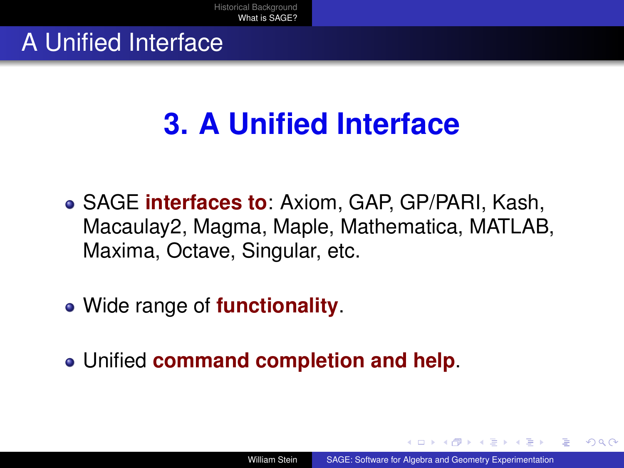#### A Unified Interface

# **3. A Unified Interface**

- SAGE **interfaces to**: Axiom, GAP, GP/PARI, Kash, Macaulay2, Magma, Maple, Mathematica, MATLAB, Maxima, Octave, Singular, etc.
- Wide range of **functionality**.
- Unified **command completion and help**.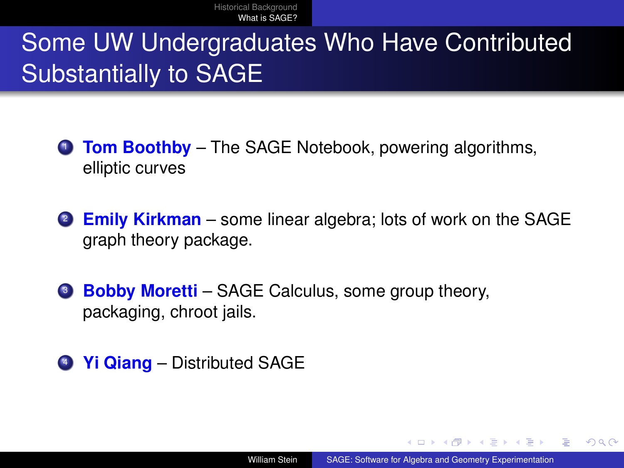### Some UW Undergraduates Who Have Contributed Substantially to SAGE

- <sup>1</sup> **Tom Boothby** The SAGE Notebook, powering algorithms, elliptic curves
- <sup>2</sup> **Emily Kirkman** some linear algebra; lots of work on the SAGE graph theory package.
- **Bobby Moretti** SAGE Calculus, some group theory, packaging, chroot jails.
- <sup>4</sup> **Yi Qiang** Distributed SAGE

∢@ ▶ ∢ ∃ ▶ ∢ ∃